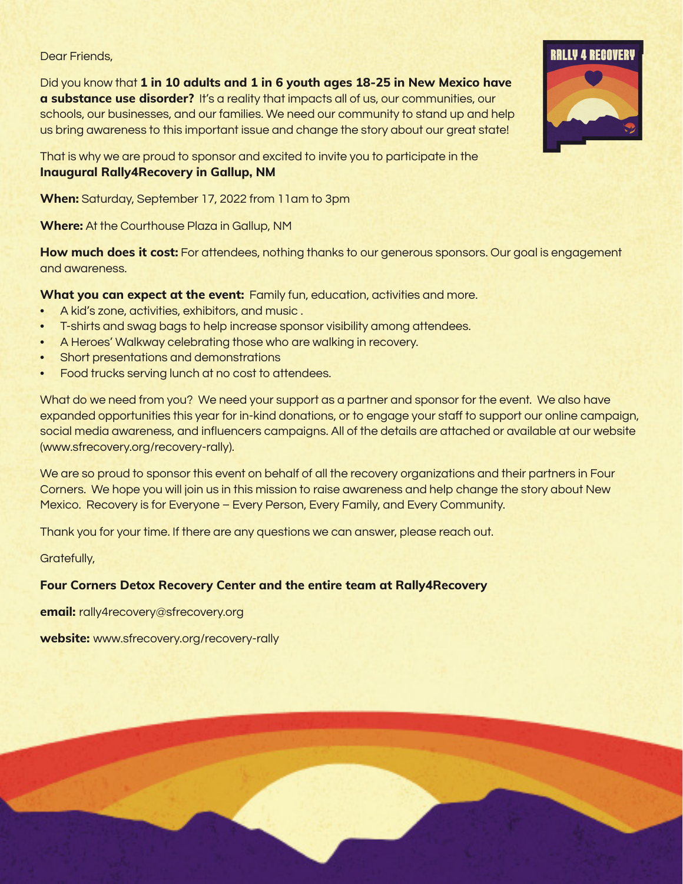#### Dear Friends,

Did you know that **1 in 10 adults and 1 in 6 youth ages 18-25 in New Mexico have a substance use disorder?** It's a reality that impacts all of us, our communities, our schools, our businesses, and our families. We need our community to stand up and help us bring awareness to this important issue and change the story about our great state!

That is why we are proud to sponsor and excited to invite you to participate in the **Inaugural Rally4Recovery in Gallup, NM** 

**When:** Saturday, September 17, 2022 from 11am to 3pm

**Where:** At the Courthouse Plaza in Gallup, NM

**How much does it cost:** For attendees, nothing thanks to our generous sponsors. Our goal is engagement and awareness.

**What you can expect at the event:** Family fun, education, activities and more.

- A kid's zone, activities, exhibitors, and music .
- T-shirts and swag bags to help increase sponsor visibility among attendees.
- A Heroes' Walkway celebrating those who are walking in recovery.
- Short presentations and demonstrations
- Food trucks serving lunch at no cost to attendees.

What do we need from you? We need your support as a partner and sponsor for the event. We also have expanded opportunities this year for in-kind donations, or to engage your staff to support our online campaign, social media awareness, and influencers campaigns. All of the details are attached or available at our website (www.sfrecovery.org/recovery-rally).

We are so proud to sponsor this event on behalf of all the recovery organizations and their partners in Four Corners. We hope you will join us in this mission to raise awareness and help change the story about New Mexico. Recovery is for Everyone – Every Person, Every Family, and Every Community.

Thank you for your time. If there are any questions we can answer, please reach out.

Gratefully,

#### **Four Corners Detox Recovery Center and the entire team at Rally4Recovery**

**email:** rally4recovery@sfrecovery.org

**website:** www.sfrecovery.org/recovery-rally